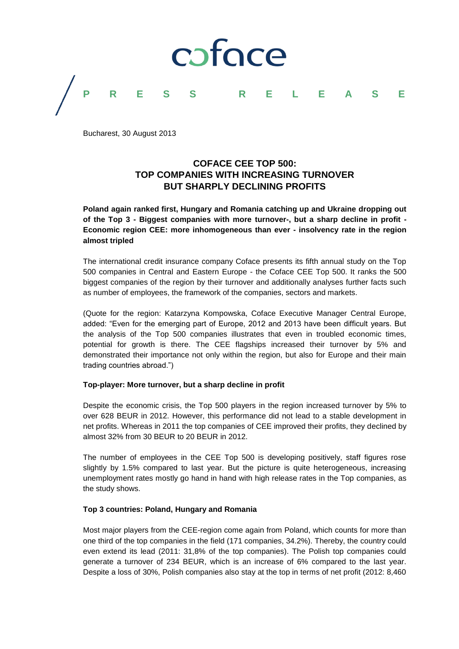

Bucharest, 30 August 2013

# **COFACE CEE TOP 500: TOP COMPANIES WITH INCREASING TURNOVER BUT SHARPLY DECLINING PROFITS**

**Poland again ranked first, Hungary and Romania catching up and Ukraine dropping out of the Top 3 - Biggest companies with more turnover-, but a sharp decline in profit - Economic region CEE: more inhomogeneous than ever - insolvency rate in the region almost tripled** 

The international credit insurance company Coface presents its fifth annual study on the Top 500 companies in Central and Eastern Europe - the Coface CEE Top 500. It ranks the 500 biggest companies of the region by their turnover and additionally analyses further facts such as number of employees, the framework of the companies, sectors and markets.

(Quote for the region: Katarzyna Kompowska, Coface Executive Manager Central Europe, added: "Even for the emerging part of Europe, 2012 and 2013 have been difficult years. But the analysis of the Top 500 companies illustrates that even in troubled economic times, potential for growth is there. The CEE flagships increased their turnover by 5% and demonstrated their importance not only within the region, but also for Europe and their main trading countries abroad.")

### **Top-player: More turnover, but a sharp decline in profit**

Despite the economic crisis, the Top 500 players in the region increased turnover by 5% to over 628 BEUR in 2012. However, this performance did not lead to a stable development in net profits. Whereas in 2011 the top companies of CEE improved their profits, they declined by almost 32% from 30 BEUR to 20 BEUR in 2012.

The number of employees in the CEE Top 500 is developing positively, staff figures rose slightly by 1.5% compared to last year. But the picture is quite heterogeneous, increasing unemployment rates mostly go hand in hand with high release rates in the Top companies, as the study shows.

## **Top 3 countries: Poland, Hungary and Romania**

Most major players from the CEE-region come again from Poland, which counts for more than one third of the top companies in the field (171 companies, 34.2%). Thereby, the country could even extend its lead (2011: 31,8% of the top companies). The Polish top companies could generate a turnover of 234 BEUR, which is an increase of 6% compared to the last year. Despite a loss of 30%, Polish companies also stay at the top in terms of net profit (2012: 8,460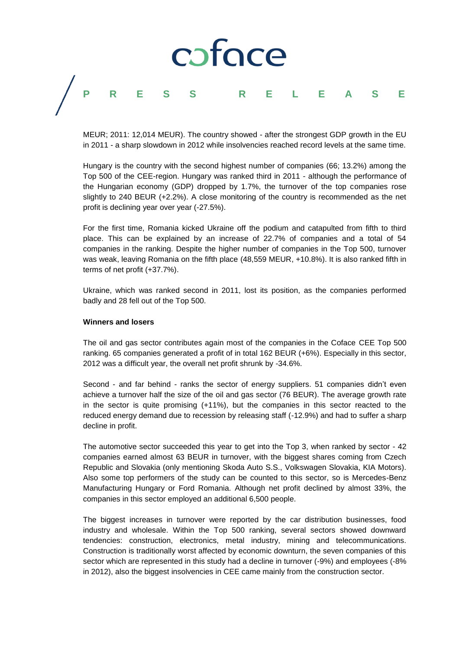# coface **P R E S S R E L E A S E**

MEUR; 2011: 12,014 MEUR). The country showed - after the strongest GDP growth in the EU in 2011 - a sharp slowdown in 2012 while insolvencies reached record levels at the same time.

Hungary is the country with the second highest number of companies (66; 13.2%) among the Top 500 of the CEE-region. Hungary was ranked third in 2011 - although the performance of the Hungarian economy (GDP) dropped by 1.7%, the turnover of the top companies rose slightly to 240 BEUR (+2.2%). A close monitoring of the country is recommended as the net profit is declining year over year (-27.5%).

For the first time, Romania kicked Ukraine off the podium and catapulted from fifth to third place. This can be explained by an increase of 22.7% of companies and a total of 54 companies in the ranking. Despite the higher number of companies in the Top 500, turnover was weak, leaving Romania on the fifth place (48,559 MEUR, +10.8%). It is also ranked fifth in terms of net profit (+37.7%).

Ukraine, which was ranked second in 2011, lost its position, as the companies performed badly and 28 fell out of the Top 500.

#### **Winners and losers**

The oil and gas sector contributes again most of the companies in the Coface CEE Top 500 ranking. 65 companies generated a profit of in total 162 BEUR (+6%). Especially in this sector, 2012 was a difficult year, the overall net profit shrunk by -34.6%.

Second - and far behind - ranks the sector of energy suppliers. 51 companies didn't even achieve a turnover half the size of the oil and gas sector (76 BEUR). The average growth rate in the sector is quite promising (+11%), but the companies in this sector reacted to the reduced energy demand due to recession by releasing staff (-12.9%) and had to suffer a sharp decline in profit.

The automotive sector succeeded this year to get into the Top 3, when ranked by sector - 42 companies earned almost 63 BEUR in turnover, with the biggest shares coming from Czech Republic and Slovakia (only mentioning Skoda Auto S.S., Volkswagen Slovakia, KIA Motors). Also some top performers of the study can be counted to this sector, so is Mercedes-Benz Manufacturing Hungary or Ford Romania. Although net profit declined by almost 33%, the companies in this sector employed an additional 6,500 people.

The biggest increases in turnover were reported by the car distribution businesses, food industry and wholesale. Within the Top 500 ranking, several sectors showed downward tendencies: construction, electronics, metal industry, mining and telecommunications. Construction is traditionally worst affected by economic downturn, the seven companies of this sector which are represented in this study had a decline in turnover (-9%) and employees (-8% in 2012), also the biggest insolvencies in CEE came mainly from the construction sector.